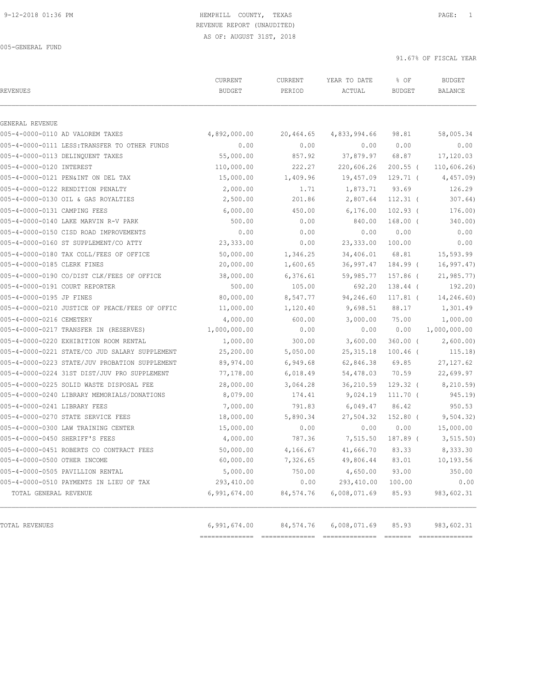| <b>REVENUES</b>                                | CURRENT<br><b>BUDGET</b> | CURRENT<br>PERIOD | YEAR TO DATE<br>ACTUAL | % OF<br><b>BUDGET</b> | <b>BUDGET</b><br>BALANCE |
|------------------------------------------------|--------------------------|-------------------|------------------------|-----------------------|--------------------------|
| GENERAL REVENUE                                |                          |                   |                        |                       |                          |
| 005-4-0000-0110 AD VALOREM TAXES               | 4,892,000.00             | 20,464.65         | 4,833,994.66           | 98.81                 | 58,005.34                |
| 005-4-0000-0111 LESS: TRANSFER TO OTHER FUNDS  | 0.00                     | 0.00              | 0.00                   | 0.00                  | 0.00                     |
| 005-4-0000-0113 DELINQUENT TAXES               | 55,000.00                | 857.92            | 37,879.97              | 68.87                 | 17,120.03                |
| 005-4-0000-0120 INTEREST                       | 110,000.00               | 222.27            | 220,606.26             | $200.55$ (            | 110,606.26               |
| 005-4-0000-0121 PEN&INT ON DEL TAX             | 15,000.00                | 1,409.96          | 19,457.09              | $129.71$ (            | 4,457.09                 |
| 005-4-0000-0122 RENDITION PENALTY              | 2,000.00                 | 1.71              | 1,873.71               | 93.69                 | 126.29                   |
| 005-4-0000-0130 OIL & GAS ROYALTIES            | 2,500.00                 | 201.86            | 2,807.64               | $112.31$ (            | 307.64)                  |
| 005-4-0000-0131 CAMPING FEES                   | 6,000.00                 | 450.00            | 6, 176.00              | $102.93$ (            | 176.00)                  |
| 005-4-0000-0140 LAKE MARVIN R-V PARK           | 500.00                   | 0.00              | 840.00                 | $168.00$ (            | 340.00)                  |
| 005-4-0000-0150 CISD ROAD IMPROVEMENTS         | 0.00                     | 0.00              | 0.00                   | 0.00                  | 0.00                     |
| 005-4-0000-0160 ST SUPPLEMENT/CO ATTY          | 23,333.00                | 0.00              | 23, 333.00             | 100.00                | 0.00                     |
| 005-4-0000-0180 TAX COLL/FEES OF OFFICE        | 50,000.00                | 1,346.25          | 34,406.01              | 68.81                 | 15,593.99                |
| 005-4-0000-0185 CLERK FINES                    | 20,000.00                | 1,600.65          | 36,997.47              | 184.99 (              | 16, 997.47               |
| 005-4-0000-0190 CO/DIST CLK/FEES OF OFFICE     | 38,000.00                | 6,376.61          | 59,985.77              | 157.86 (              | 21, 985.77               |
| 005-4-0000-0191 COURT REPORTER                 | 500.00                   | 105.00            | 692.20                 | 138.44 (              | 192.20)                  |
| 005-4-0000-0195 JP FINES                       | 80,000.00                | 8,547.77          | 94,246.60              | $117.81$ (            | 14,246.60)               |
| 005-4-0000-0210 JUSTICE OF PEACE/FEES OF OFFIC | 11,000.00                | 1,120.40          | 9,698.51               | 88.17                 | 1,301.49                 |
| 005-4-0000-0216 CEMETERY                       | 4,000.00                 | 600.00            | 3,000.00               | 75.00                 | 1,000.00                 |
| 005-4-0000-0217 TRANSFER IN (RESERVES)         | 1,000,000.00             | 0.00              | 0.00                   | 0.00                  | 1,000,000.00             |
| 005-4-0000-0220 EXHIBITION ROOM RENTAL         | 1,000.00                 | 300.00            | 3,600.00               | $360.00$ (            | 2,600.00)                |
| 005-4-0000-0221 STATE/CO JUD SALARY SUPPLEMENT | 25,200.00                | 5,050.00          | 25, 315.18             | $100.46$ (            | 115.18)                  |
| 005-4-0000-0223 STATE/JUV PROBATION SUPPLEMENT | 89,974.00                | 6,949.68          | 62,846.38              | 69.85                 | 27, 127.62               |
| 005-4-0000-0224 31ST DIST/JUV PRO SUPPLEMENT   | 77,178.00                | 6,018.49          | 54,478.03              | 70.59                 | 22,699.97                |
| 005-4-0000-0225 SOLID WASTE DISPOSAL FEE       | 28,000.00                | 3,064.28          | 36,210.59              | $129.32$ (            | 8,210.59)                |
| 005-4-0000-0240 LIBRARY MEMORIALS/DONATIONS    | 8,079.00                 | 174.41            | 9,024.19               | $111.70$ (            | 945.19)                  |
| 005-4-0000-0241 LIBRARY FEES                   | 7,000.00                 | 791.83            | 6,049.47               | 86.42                 | 950.53                   |
| 005-4-0000-0270 STATE SERVICE FEES             | 18,000.00                | 5,890.34          | 27,504.32              | $152.80$ (            | 9,504.32)                |
| 005-4-0000-0300 LAW TRAINING CENTER            | 15,000.00                | 0.00              | 0.00                   | 0.00                  | 15,000.00                |
| 005-4-0000-0450 SHERIFF'S FEES                 | 4,000.00                 | 787.36            | 7,515.50               | 187.89 (              | 3, 515.50                |
| 005-4-0000-0451 ROBERTS CO CONTRACT FEES       | 50,000.00                | 4,166.67          | 41,666.70              | 83.33                 | 8,333.30                 |
| 005-4-0000-0500 OTHER INCOME                   | 60,000.00                | 7,326.65          | 49,806.44              | 83.01                 | 10,193.56                |
| 005-4-0000-0505 PAVILLION RENTAL               | 5,000.00                 | 750.00            | 4,650.00               | 93.00                 | 350.00                   |
| 005-4-0000-0510 PAYMENTS IN LIEU OF TAX        | 293,410.00               | 0.00              | 293,410.00             | 100.00                | 0.00                     |
| TOTAL GENERAL REVENUE                          | 6,991,674.00             | 84,574.76         | 6,008,071.69           | 85.93                 | 983,602.31               |
| TOTAL REVENUES                                 | 6,991,674.00             | 84,574.76         | 6,008,071.69           | 85.93                 | 983,602.31               |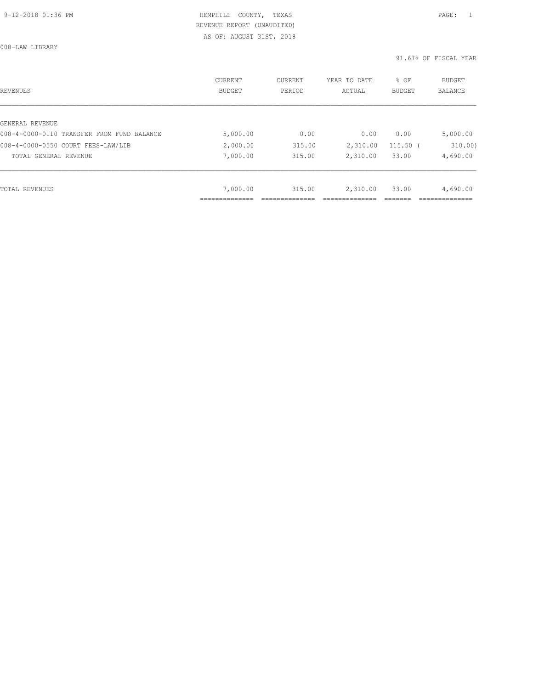008-LAW LIBRARY

| REVENUES                                   | CURRENT<br><b>BUDGET</b> | CURRENT<br>PERIOD | YEAR TO DATE<br>ACTUAL | % OF<br><b>BUDGET</b> | <b>BUDGET</b><br>BALANCE |
|--------------------------------------------|--------------------------|-------------------|------------------------|-----------------------|--------------------------|
|                                            |                          |                   |                        |                       |                          |
| GENERAL REVENUE                            |                          |                   |                        |                       |                          |
| 008-4-0000-0110 TRANSFER FROM FUND BALANCE | 5,000.00                 | 0.00              | 0.00                   | 0.00                  | 5,000.00                 |
| 008-4-0000-0550 COURT FEES-LAW/LIB         | 2,000.00                 | 315.00            | 2,310.00               | $115.50$ (            | 310.00)                  |
| TOTAL GENERAL REVENUE                      | 7,000.00                 | 315.00            | 2,310.00               | 33.00                 | 4,690.00                 |
|                                            |                          |                   |                        |                       |                          |
| TOTAL REVENUES                             | 7,000.00                 | 315.00            | 2,310.00               | 33.00                 | 4,690.00                 |
|                                            |                          |                   |                        |                       |                          |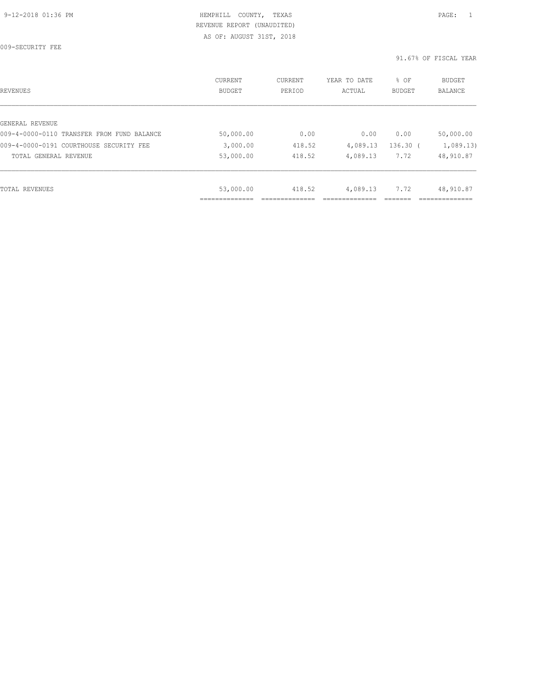009-SECURITY FEE

| REVENUES                                   | CURRENT<br><b>BUDGET</b> | CURRENT<br>PERIOD | YEAR TO DATE<br>ACTUAL | % OF<br><b>BUDGET</b> | <b>BUDGET</b><br><b>BALANCE</b> |
|--------------------------------------------|--------------------------|-------------------|------------------------|-----------------------|---------------------------------|
|                                            |                          |                   |                        |                       |                                 |
| GENERAL REVENUE                            |                          |                   |                        |                       |                                 |
| 009-4-0000-0110 TRANSFER FROM FUND BALANCE | 50,000.00                | 0.00              | 0.00                   | 0.00                  | 50,000.00                       |
| 009-4-0000-0191 COURTHOUSE SECURITY FEE    | 3,000.00                 | 418.52            | 4,089.13               | $136.30$ (            | 1,089.13                        |
| TOTAL GENERAL REVENUE                      | 53,000.00                | 418.52            | 4,089.13               | 7.72                  | 48,910.87                       |
|                                            |                          |                   |                        |                       |                                 |
| TOTAL REVENUES                             | 53,000.00                | 418.52            | 4,089.13               | 7.72                  | 48,910.87                       |
|                                            | _________                |                   |                        |                       |                                 |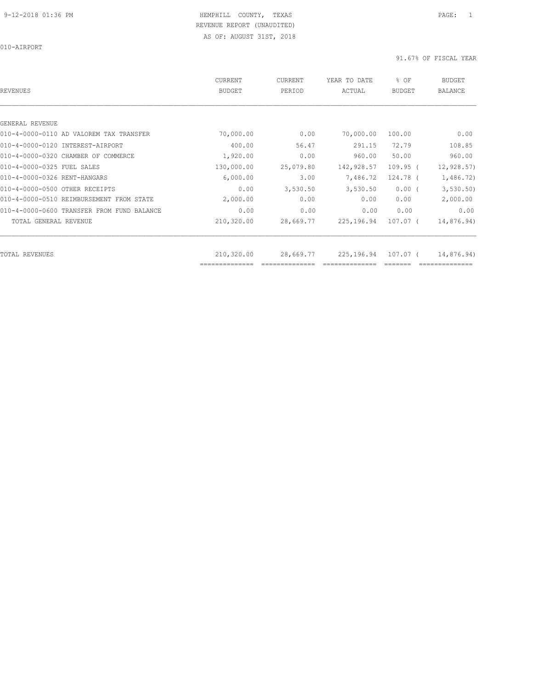010-AIRPORT

| REVENUES                                   | CURRENT<br><b>BUDGET</b> | <b>CURRENT</b><br>PERIOD | YEAR TO DATE<br>ACTUAL | % OF<br><b>BUDGET</b> | <b>BUDGET</b><br><b>BALANCE</b> |
|--------------------------------------------|--------------------------|--------------------------|------------------------|-----------------------|---------------------------------|
|                                            |                          |                          |                        |                       |                                 |
| GENERAL REVENUE                            |                          |                          |                        |                       |                                 |
| 010-4-0000-0110 AD VALOREM TAX TRANSFER    | 70,000.00                | 0.00                     | 70,000.00              | 100.00                | 0.00                            |
| 010-4-0000-0120 INTEREST-AIRPORT           | 400.00                   | 56.47                    | 291.15                 | 72.79                 | 108.85                          |
| 010-4-0000-0320 CHAMBER OF COMMERCE        | 1,920.00                 | 0.00                     | 960.00                 | 50.00                 | 960.00                          |
| 010-4-0000-0325 FUEL SALES                 | 130,000.00               | 25,079.80                | 142,928.57             | $109.95$ (            | 12, 928.57                      |
| 010-4-0000-0326 RENT-HANGARS               | 6,000.00                 | 3.00                     | 7,486.72               | 124.78 (              | 1,486.72)                       |
| 010-4-0000-0500 OTHER RECEIPTS             | 0.00                     | 3,530.50                 | 3,530.50               | $0.00$ (              | 3, 530.50                       |
| 010-4-0000-0510 REIMBURSEMENT FROM STATE   | 2,000.00                 | 0.00                     | 0.00                   | 0.00                  | 2,000.00                        |
| 010-4-0000-0600 TRANSFER FROM FUND BALANCE | 0.00                     | 0.00                     | 0.00                   | 0.00                  | 0.00                            |
| TOTAL GENERAL REVENUE                      | 210,320.00               | 28,669.77                | 225,196.94             | 107.07 (              | 14,876.94)                      |
| TOTAL REVENUES                             | 210,320.00               | 28,669.77                | 225,196.94             | 107.07 (              | 14,876.94)                      |
|                                            |                          |                          |                        |                       |                                 |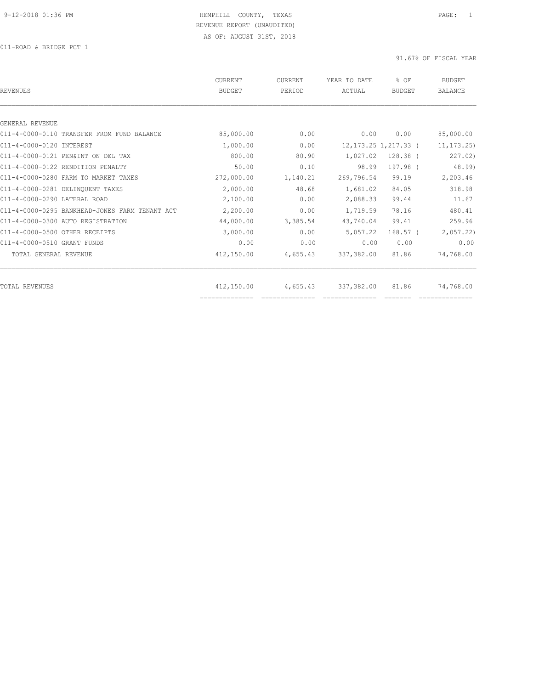011-ROAD & BRIDGE PCT 1

| REVENUES                                       | CURRENT<br><b>BUDGET</b> | <b>CURRENT</b><br>PERIOD | YEAR TO DATE<br>ACTUAL | % OF<br><b>BUDGET</b>    | <b>BUDGET</b><br><b>BALANCE</b> |
|------------------------------------------------|--------------------------|--------------------------|------------------------|--------------------------|---------------------------------|
|                                                |                          |                          |                        |                          |                                 |
| GENERAL REVENUE                                |                          |                          |                        |                          |                                 |
| 011-4-0000-0110 TRANSFER FROM FUND BALANCE     | 85,000.00                | 0.00                     | 0.00                   | 0.00                     | 85,000.00                       |
| 011-4-0000-0120 INTEREST                       | 1,000.00                 | 0.00                     |                        | 12, 173. 25 1, 217. 33 ( | 11, 173.25                      |
| 011-4-0000-0121 PEN&INT ON DEL TAX             | 800.00                   | 80.90                    | 1,027.02               | $128.38$ (               | 227.02)                         |
| 011-4-0000-0122 RENDITION PENALTY              | 50.00                    | 0.10                     | 98.99                  | 197.98 (                 | 48.99)                          |
| 011-4-0000-0280 FARM TO MARKET TAXES           | 272,000.00               | 1,140.21                 | 269,796.54             | 99.19                    | 2,203.46                        |
| 011-4-0000-0281 DELINOUENT TAXES               | 2,000.00                 | 48.68                    | 1,681.02               | 84.05                    | 318.98                          |
| 011-4-0000-0290 LATERAL ROAD                   | 2,100.00                 | 0.00                     | 2,088.33               | 99.44                    | 11.67                           |
| 011-4-0000-0295 BANKHEAD-JONES FARM TENANT ACT | 2,200.00                 | 0.00                     | 1,719.59               | 78.16                    | 480.41                          |
| 011-4-0000-0300 AUTO REGISTRATION              | 44,000.00                | 3,385.54                 | 43,740.04              | 99.41                    | 259.96                          |
| 011-4-0000-0500 OTHER RECEIPTS                 | 3,000.00                 | 0.00                     | 5,057.22               | $168.57$ (               | 2,057.22                        |
| 011-4-0000-0510 GRANT FUNDS                    | 0.00                     | 0.00                     | 0.00                   | 0.00                     | 0.00                            |
| TOTAL GENERAL REVENUE                          | 412,150.00               | 4,655.43                 | 337,382.00             | 81.86                    | 74,768.00                       |
|                                                |                          |                          |                        |                          |                                 |
| TOTAL REVENUES                                 | 412,150.00               | 4,655.43                 | 337,382.00             | 81.86                    | 74,768.00                       |
|                                                |                          |                          |                        |                          |                                 |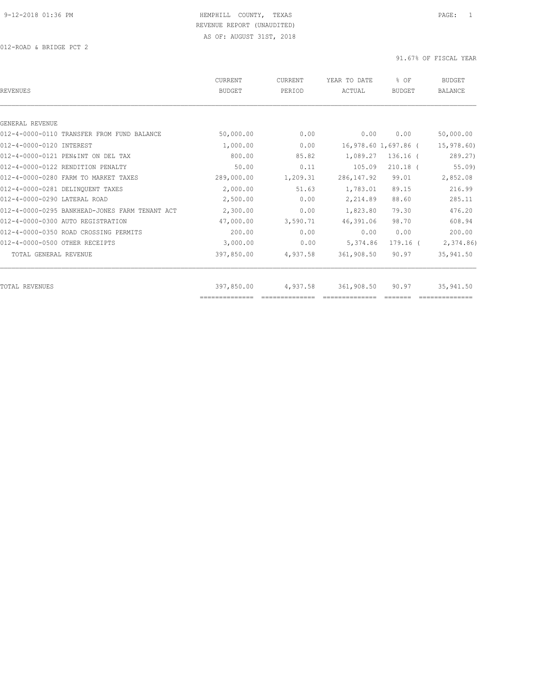| REVENUES                                       | CURRENT<br><b>BUDGET</b> | CURRENT<br>PERIOD | YEAR TO DATE<br>ACTUAL | % OF<br><b>BUDGET</b> | <b>BUDGET</b><br><b>BALANCE</b> |
|------------------------------------------------|--------------------------|-------------------|------------------------|-----------------------|---------------------------------|
|                                                |                          |                   |                        |                       |                                 |
| GENERAL REVENUE                                |                          |                   |                        |                       |                                 |
| 012-4-0000-0110 TRANSFER FROM FUND BALANCE     | 50,000.00                | 0.00              | 0.00                   | 0.00                  | 50,000.00                       |
| 012-4-0000-0120 INTEREST                       | 1,000.00                 | 0.00              |                        | 16,978.60 1,697.86 (  | 15,978.60)                      |
| 012-4-0000-0121 PEN&INT ON DEL TAX             | 800.00                   | 85.82             | 1,089.27               | $136.16$ (            | 289.27                          |
| 012-4-0000-0122 RENDITION PENALTY              | 50.00                    | 0.11              | 105.09                 | $210.18$ (            | $55.09$ )                       |
| 012-4-0000-0280 FARM TO MARKET TAXES           | 289,000.00               | 1,209.31          | 286, 147.92            | 99.01                 | 2,852.08                        |
| 012-4-0000-0281 DELINQUENT TAXES               | 2,000.00                 | 51.63             | 1,783.01               | 89.15                 | 216.99                          |
| 012-4-0000-0290 LATERAL ROAD                   | 2,500.00                 | 0.00              | 2,214.89               | 88.60                 | 285.11                          |
| 012-4-0000-0295 BANKHEAD-JONES FARM TENANT ACT | 2,300.00                 | 0.00              | 1,823.80               | 79.30                 | 476.20                          |
| 012-4-0000-0300 AUTO REGISTRATION              | 47,000.00                | 3,590.71          | 46,391.06              | 98.70                 | 608.94                          |
| 012-4-0000-0350 ROAD CROSSING PERMITS          | 200.00                   | 0.00              | 0.00                   | 0.00                  | 200.00                          |
| 012-4-0000-0500 OTHER RECEIPTS                 | 3,000.00                 | 0.00              | 5,374.86               | 179.16 (              | 2,374.86                        |
| TOTAL GENERAL REVENUE                          | 397,850.00               | 4,937.58          | 361,908.50             | 90.97                 | 35,941.50                       |
| TOTAL REVENUES                                 | 397,850.00               | 4,937.58          | 361,908.50             | 90.97                 | 35,941.50                       |
|                                                | ==============           |                   |                        |                       |                                 |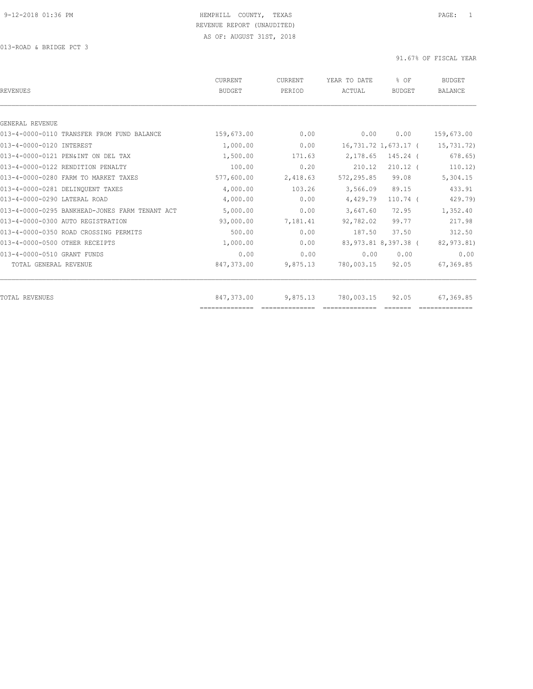013-ROAD & BRIDGE PCT 3

| <b>REVENUES</b>                                | CURRENT<br><b>BUDGET</b> | CURRENT<br>PERIOD | YEAR TO DATE<br>ACTUAL | % OF<br><b>BUDGET</b> | <b>BUDGET</b><br><b>BALANCE</b> |
|------------------------------------------------|--------------------------|-------------------|------------------------|-----------------------|---------------------------------|
|                                                |                          |                   |                        |                       |                                 |
| GENERAL REVENUE                                |                          |                   |                        |                       |                                 |
| 013-4-0000-0110 TRANSFER FROM FUND BALANCE     | 159,673.00               | 0.00              | 0.00                   | 0.00                  | 159,673.00                      |
| 013-4-0000-0120 INTEREST                       | 1,000.00                 | 0.00              |                        | 16,731.72 1,673.17 (  | 15,731.72)                      |
| 013-4-0000-0121 PEN&INT ON DEL TAX             | 1,500.00                 | 171.63            | 2,178.65               | 145.24 (              | 678.65                          |
| 013-4-0000-0122 RENDITION PENALTY              | 100.00                   | 0.20              | 210.12                 | $210.12$ (            | 110.12                          |
| 013-4-0000-0280 FARM TO MARKET TAXES           | 577,600.00               | 2,418.63          | 572,295.85             | 99.08                 | 5,304.15                        |
| 013-4-0000-0281 DELINQUENT TAXES               | 4,000.00                 | 103.26            | 3,566.09               | 89.15                 | 433.91                          |
| 013-4-0000-0290 LATERAL ROAD                   | 4,000.00                 | 0.00              | 4,429.79               | $110.74$ (            | 429.79)                         |
| 013-4-0000-0295 BANKHEAD-JONES FARM TENANT ACT | 5,000.00                 | 0.00              | 3,647.60               | 72.95                 | 1,352.40                        |
| 013-4-0000-0300 AUTO REGISTRATION              | 93,000.00                | 7,181.41          | 92,782.02              | 99.77                 | 217.98                          |
| 013-4-0000-0350 ROAD CROSSING PERMITS          | 500.00                   | 0.00              | 187.50                 | 37.50                 | 312.50                          |
| 013-4-0000-0500 OTHER RECEIPTS                 | 1,000.00                 | 0.00              |                        | 83,973.81 8,397.38 (  | 82,973.81)                      |
| 013-4-0000-0510 GRANT FUNDS                    | 0.00                     | 0.00              | 0.00                   | 0.00                  | 0.00                            |
| TOTAL GENERAL REVENUE                          | 847,373.00               | 9,875.13          | 780,003.15             | 92.05                 | 67,369.85                       |
|                                                |                          |                   |                        |                       |                                 |
| TOTAL REVENUES                                 | 847,373.00               | 9,875.13          | 780,003.15             | 92.05                 | 67,369.85                       |
|                                                | ==============           |                   |                        |                       |                                 |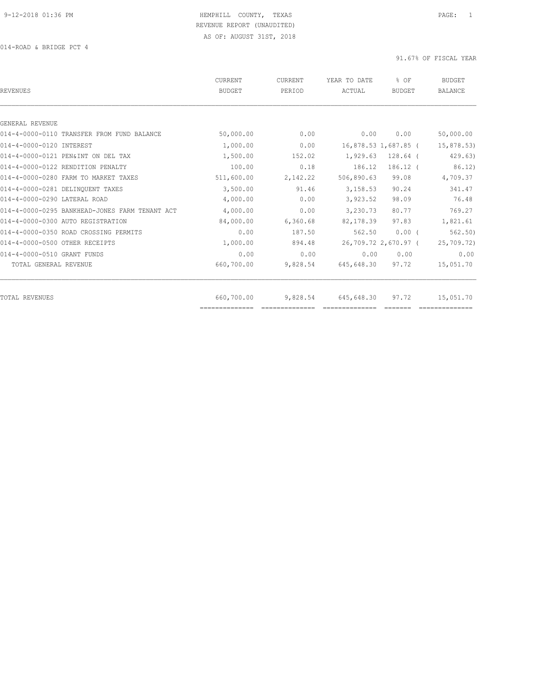014-ROAD & BRIDGE PCT 4

| <b>REVENUES</b>                                | CURRENT<br><b>BUDGET</b> | CURRENT<br>PERIOD | YEAR TO DATE<br>ACTUAL | % OF<br><b>BUDGET</b> | <b>BUDGET</b><br><b>BALANCE</b> |
|------------------------------------------------|--------------------------|-------------------|------------------------|-----------------------|---------------------------------|
|                                                |                          |                   |                        |                       |                                 |
| GENERAL REVENUE                                |                          |                   |                        |                       |                                 |
| 014-4-0000-0110 TRANSFER FROM FUND BALANCE     | 50,000.00                | 0.00              | 0.00                   | 0.00                  | 50,000.00                       |
| 014-4-0000-0120 INTEREST                       | 1,000.00                 | 0.00              |                        | 16,878.53 1,687.85 (  | 15,878.53)                      |
| 014-4-0000-0121 PEN&INT ON DEL TAX             | 1,500.00                 | 152.02            | 1,929.63               | $128.64$ (            | 429.63)                         |
| 014-4-0000-0122 RENDITION PENALTY              | 100.00                   | 0.18              | 186.12                 | $186.12$ (            | 86.12)                          |
| 014-4-0000-0280 FARM TO MARKET TAXES           | 511,600.00               | 2,142.22          | 506,890.63             | 99.08                 | 4,709.37                        |
| 014-4-0000-0281 DELINQUENT TAXES               | 3,500.00                 | 91.46             | 3,158.53               | 90.24                 | 341.47                          |
| 014-4-0000-0290 LATERAL ROAD                   | 4,000.00                 | 0.00              | 3,923.52               | 98.09                 | 76.48                           |
| 014-4-0000-0295 BANKHEAD-JONES FARM TENANT ACT | 4,000.00                 | 0.00              | 3,230.73               | 80.77                 | 769.27                          |
| 014-4-0000-0300 AUTO REGISTRATION              | 84,000.00                | 6,360.68          | 82,178.39              | 97.83                 | 1,821.61                        |
| 014-4-0000-0350 ROAD CROSSING PERMITS          | 0.00                     | 187.50            | 562.50                 | $0.00$ (              | 562.50                          |
| 014-4-0000-0500 OTHER RECEIPTS                 | 1,000.00                 | 894.48            |                        | 26,709.72 2,670.97 (  | 25,709.72)                      |
| 014-4-0000-0510 GRANT FUNDS                    | 0.00                     | 0.00              | 0.00                   | 0.00                  | 0.00                            |
| TOTAL GENERAL REVENUE                          | 660,700.00               | 9,828.54          | 645,648.30             | 97.72                 | 15,051.70                       |
| TOTAL REVENUES                                 | 660,700.00               | 9,828.54          | 645,648.30             | 97.72                 | 15,051.70                       |
|                                                | ---------------          |                   |                        |                       |                                 |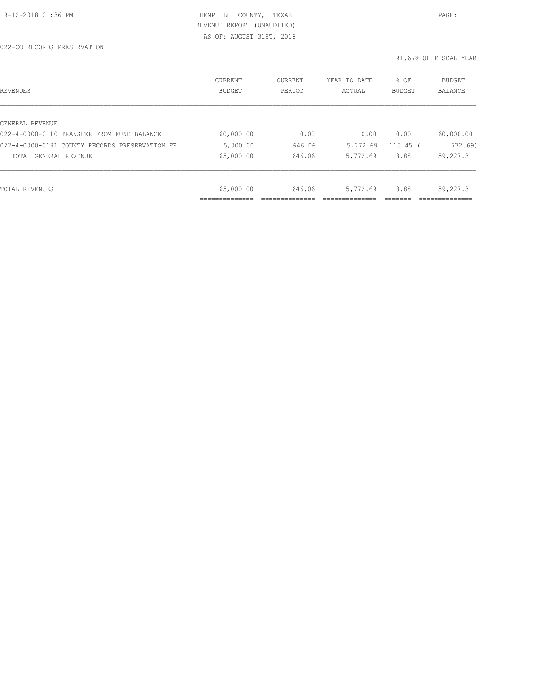022-CO RECORDS PRESERVATION

| REVENUES                                       | CURRENT<br><b>BUDGET</b>    | CURRENT<br>PERIOD | YEAR TO DATE<br>ACTUAL | % OF<br><b>BUDGET</b> | BUDGET<br><b>BALANCE</b> |
|------------------------------------------------|-----------------------------|-------------------|------------------------|-----------------------|--------------------------|
|                                                |                             |                   |                        |                       |                          |
| GENERAL REVENUE                                |                             |                   |                        |                       |                          |
| 022-4-0000-0110 TRANSFER FROM FUND BALANCE     | 60,000.00                   | 0.00              | 0.00                   | 0.00                  | 60,000.00                |
| 022-4-0000-0191 COUNTY RECORDS PRESERVATION FE | 5,000.00                    | 646.06            | 5,772.69               | $115.45$ (            | 772.69                   |
| TOTAL GENERAL REVENUE                          | 65,000.00                   | 646.06            | 5,772.69               | 8.88                  | 59,227.31                |
|                                                |                             |                   |                        |                       |                          |
| TOTAL REVENUES                                 | 65,000.00                   | 646.06            | 5,772.69               | 8.88                  | 59,227.31                |
|                                                | ____________<br>___________ |                   |                        |                       |                          |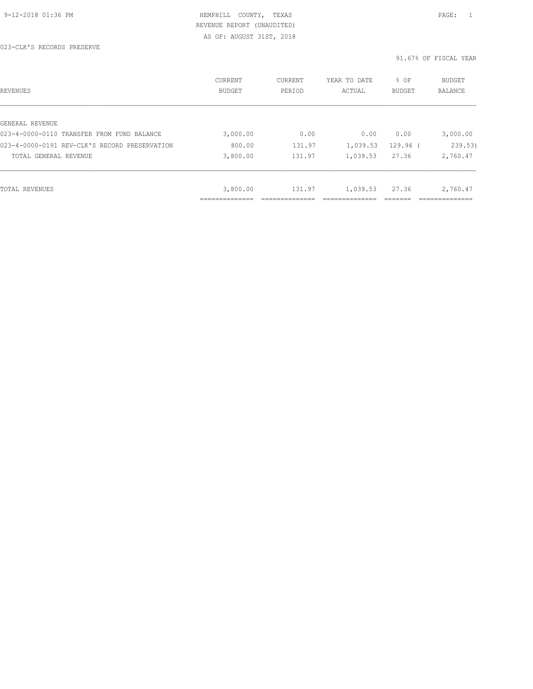| REVENUES                                      | CURRENT<br>BUDGET | CURRENT<br>PERIOD | YEAR TO DATE<br>ACTUAL | % OF<br><b>BUDGET</b> | <b>BUDGET</b><br>BALANCE |
|-----------------------------------------------|-------------------|-------------------|------------------------|-----------------------|--------------------------|
|                                               |                   |                   |                        |                       |                          |
| GENERAL REVENUE                               |                   |                   |                        |                       |                          |
| 023-4-0000-0110 TRANSFER FROM FUND BALANCE    | 3,000.00          | 0.00              | 0.00                   | 0.00                  | 3,000.00                 |
| 023-4-0000-0191 REV-CLK'S RECORD PRESERVATION | 800.00            | 131.97            | 1,039.53               | 129.94 (              | 239.53)                  |
| TOTAL GENERAL REVENUE                         | 3,800.00          | 131.97            | 1,039.53               | 27.36                 | 2,760.47                 |
|                                               |                   |                   |                        |                       |                          |
| TOTAL REVENUES                                | 3,800.00          | 131.97            | 1,039.53               | 27.36                 | 2,760.47                 |
|                                               | ___________       |                   |                        |                       |                          |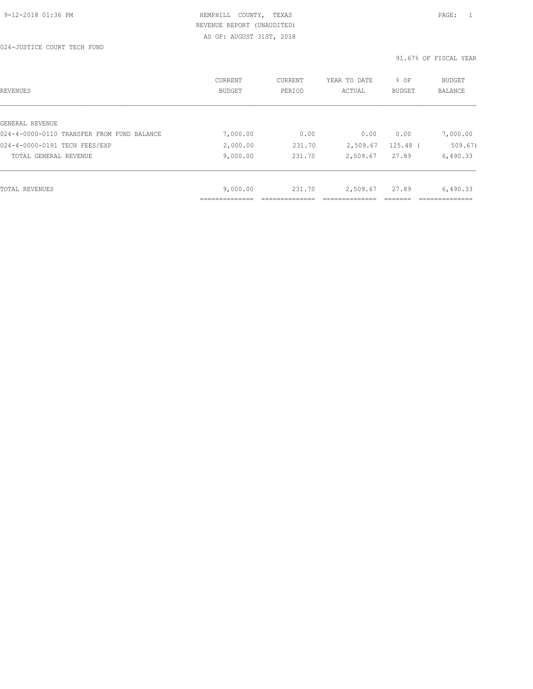024-JUSTICE COURT TECH FUND

| REVENUES                                   | CURRENT<br><b>BUDGET</b>   | CURRENT<br>PERIOD | YEAR TO DATE<br>ACTUAL | % OF<br><b>BUDGET</b> | <b>BUDGET</b><br><b>BALANCE</b> |
|--------------------------------------------|----------------------------|-------------------|------------------------|-----------------------|---------------------------------|
|                                            |                            |                   |                        |                       |                                 |
| GENERAL REVENUE                            |                            |                   |                        |                       |                                 |
| 024-4-0000-0110 TRANSFER FROM FUND BALANCE | 7,000.00                   | 0.00              | 0.00                   | 0.00                  | 7,000.00                        |
| 024-4-0000-0191 TECH FEES/EXP              | 2,000.00                   | 231.70            | 2,509.67               | 125.48 (              | 509.67)                         |
| TOTAL GENERAL REVENUE                      | 9,000.00                   | 231.70            | 2,509.67               | 27.89                 | 6,490.33                        |
|                                            |                            |                   |                        |                       |                                 |
| TOTAL REVENUES                             | 9,000.00                   | 231.70            | 2,509.67               | 27.89                 | 6,490.33                        |
|                                            | -------------<br>_________ |                   |                        |                       | -----------                     |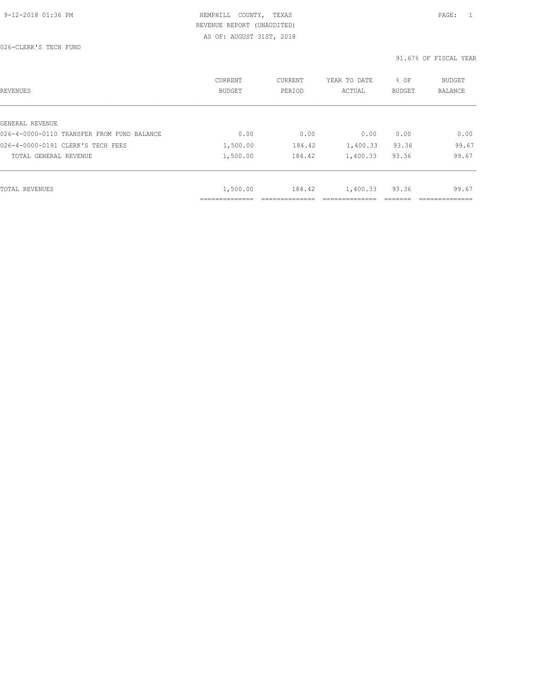026-CLERK'S TECH FUND

| REVENUES                                   | <b>CURRENT</b><br><b>BUDGET</b> | CURRENT<br>PERIOD | YEAR TO DATE<br>ACTUAL | % OF<br><b>BUDGET</b> | <b>BUDGET</b><br>BALANCE |
|--------------------------------------------|---------------------------------|-------------------|------------------------|-----------------------|--------------------------|
|                                            |                                 |                   |                        |                       |                          |
| GENERAL REVENUE                            |                                 |                   |                        |                       |                          |
| 026-4-0000-0110 TRANSFER FROM FUND BALANCE | 0.00                            | 0.00              | 0.00                   | 0.00                  | 0.00                     |
| 026-4-0000-0191 CLERK'S TECH FEES          | 1,500.00                        | 184.42            | 1,400.33               | 93.36                 | 99.67                    |
| TOTAL GENERAL REVENUE                      | 1,500.00                        | 184.42            | 1,400.33               | 93.36                 | 99.67                    |
|                                            |                                 |                   |                        |                       |                          |
| TOTAL REVENUES                             | 1,500.00                        | 184.42            | 1,400.33               | 93.36                 | 99.67                    |
|                                            | -----------<br>------------     |                   |                        |                       |                          |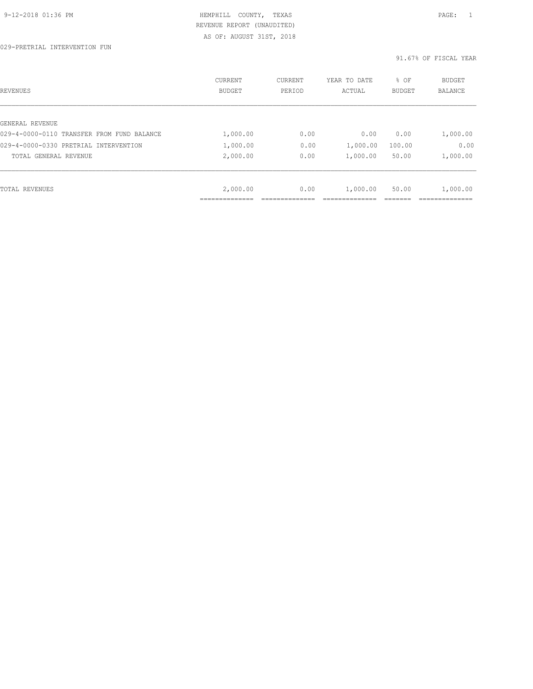| REVENUES                                   | CURRENT<br><b>BUDGET</b> | CURRENT<br>PERIOD | YEAR TO DATE<br>ACTUAL | % OF<br><b>BUDGET</b> | <b>BUDGET</b><br>BALANCE |
|--------------------------------------------|--------------------------|-------------------|------------------------|-----------------------|--------------------------|
|                                            |                          |                   |                        |                       |                          |
| GENERAL REVENUE                            |                          |                   |                        |                       |                          |
| 029-4-0000-0110 TRANSFER FROM FUND BALANCE | 1,000.00                 | 0.00              | 0.00                   | 0.00                  | 1,000.00                 |
| 029-4-0000-0330 PRETRIAL INTERVENTION      | 1,000.00                 | 0.00              | 1,000.00               | 100.00                | 0.00                     |
| TOTAL GENERAL REVENUE                      | 2,000.00                 | 0.00              | 1,000.00               | 50.00                 | 1,000.00                 |
|                                            |                          |                   |                        |                       |                          |
| TOTAL REVENUES                             | 2,000.00                 | 0.00              | 1,000.00               | 50.00                 | 1,000.00                 |
|                                            |                          |                   |                        |                       |                          |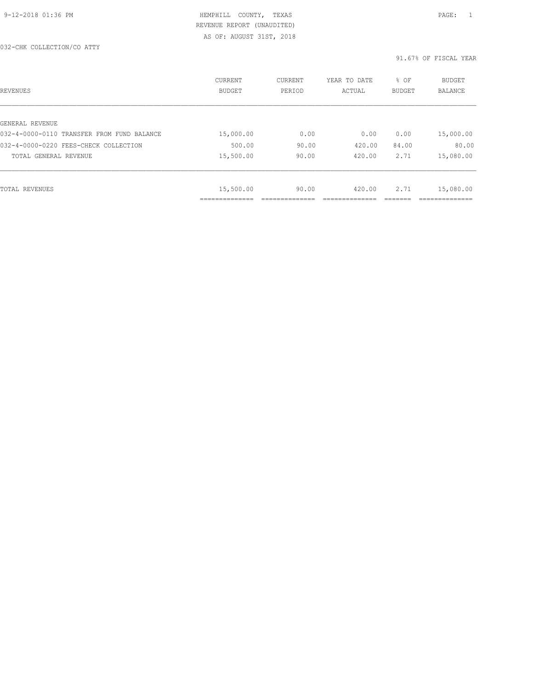| REVENUES                                   | CURRENT<br><b>BUDGET</b> | CURRENT<br>PERIOD | YEAR TO DATE<br>ACTUAL | % OF<br>BUDGET | BUDGET<br><b>BALANCE</b> |
|--------------------------------------------|--------------------------|-------------------|------------------------|----------------|--------------------------|
|                                            |                          |                   |                        |                |                          |
| GENERAL REVENUE                            |                          |                   |                        |                |                          |
| 032-4-0000-0110 TRANSFER FROM FUND BALANCE | 15,000.00                | 0.00              | 0.00                   | 0.00           | 15,000.00                |
| 032-4-0000-0220 FEES-CHECK COLLECTION      | 500.00                   | 90.00             | 420.00                 | 84.00          | 80.00                    |
| TOTAL GENERAL REVENUE                      | 15,500.00                | 90.00             | 420.00                 | 2.71           | 15,080.00                |
|                                            |                          |                   |                        |                |                          |
| TOTAL REVENUES                             | 15,500.00                | 90.00             | 420.00                 | 2.71           | 15,080.00                |
|                                            | .                        |                   |                        |                | __________               |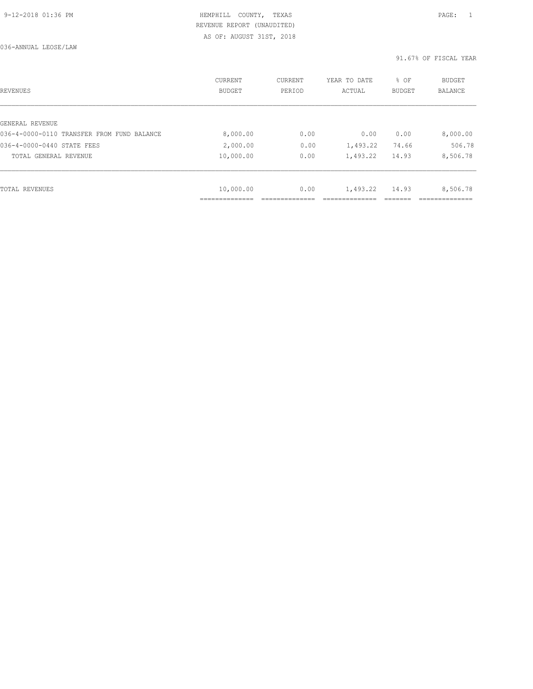036-ANNUAL LEOSE/LAW

| REVENUES                                   | CURRENT<br><b>BUDGET</b> | CURRENT<br>PERIOD | YEAR TO DATE<br>ACTUAL | % OF<br>BUDGET | BUDGET<br><b>BALANCE</b> |
|--------------------------------------------|--------------------------|-------------------|------------------------|----------------|--------------------------|
|                                            |                          |                   |                        |                |                          |
| GENERAL REVENUE                            |                          |                   |                        |                |                          |
| 036-4-0000-0110 TRANSFER FROM FUND BALANCE | 8,000.00                 | 0.00              | 0.00                   | 0.00           | 8,000.00                 |
| 036-4-0000-0440 STATE FEES                 | 2,000.00                 | 0.00              | 1,493.22               | 74.66          | 506.78                   |
| TOTAL GENERAL REVENUE                      | 10,000.00                | 0.00              | 1,493.22               | 14.93          | 8,506.78                 |
|                                            |                          |                   |                        |                |                          |
| TOTAL REVENUES                             | 10,000.00                | 0.00              | 1,493.22               | 14.93          | 8,506.78                 |
|                                            |                          |                   |                        |                |                          |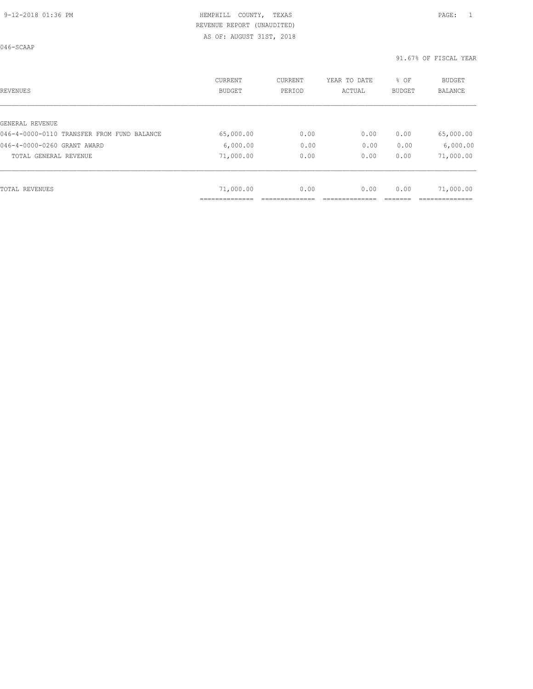046-SCAAP

| REVENUES                                   | CURRENT<br><b>BUDGET</b> | CURRENT<br>PERIOD | YEAR TO DATE<br>ACTUAL | % OF<br>BUDGET | BUDGET<br><b>BALANCE</b> |
|--------------------------------------------|--------------------------|-------------------|------------------------|----------------|--------------------------|
|                                            |                          |                   |                        |                |                          |
| GENERAL REVENUE                            |                          |                   |                        |                |                          |
| 046-4-0000-0110 TRANSFER FROM FUND BALANCE | 65,000.00                | 0.00              | 0.00                   | 0.00           | 65,000.00                |
| 046-4-0000-0260 GRANT AWARD                | 6,000.00                 | 0.00              | 0.00                   | 0.00           | 6,000.00                 |
| TOTAL GENERAL REVENUE                      | 71,000.00                | 0.00              | 0.00                   | 0.00           | 71,000.00                |
|                                            |                          |                   |                        |                |                          |
| TOTAL REVENUES                             | 71,000.00                | 0.00              | 0.00                   | 0.00           | 71,000.00                |
|                                            | ___________              |                   |                        |                |                          |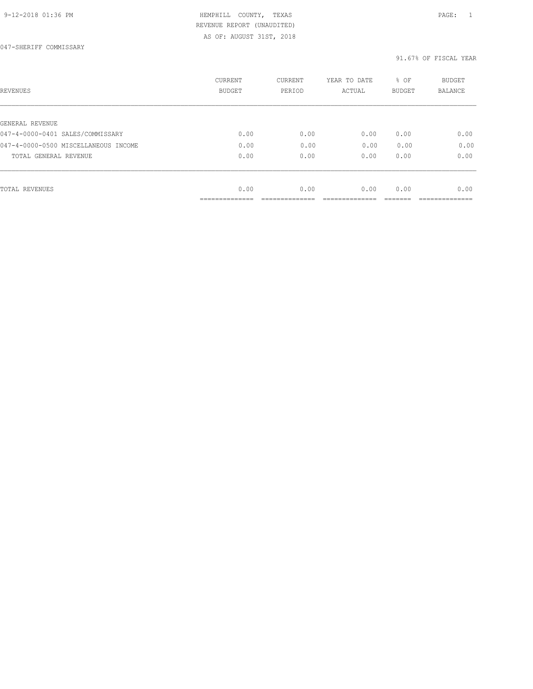| REVENUES                                            | <b>CURRENT</b><br><b>BUDGET</b> | CURRENT<br>PERIOD | YEAR TO DATE<br>ACTUAL | % OF<br><b>BUDGET</b> | <b>BUDGET</b><br>BALANCE |
|-----------------------------------------------------|---------------------------------|-------------------|------------------------|-----------------------|--------------------------|
|                                                     |                                 |                   |                        |                       |                          |
| GENERAL REVENUE<br>047-4-0000-0401 SALES/COMMISSARY | 0.00                            | 0.00              | 0.00                   | 0.00                  | 0.00                     |
| 047-4-0000-0500 MISCELLANEOUS INCOME                | 0.00                            | 0.00              | 0.00                   | 0.00                  | 0.00                     |
|                                                     |                                 |                   |                        |                       |                          |
| TOTAL GENERAL REVENUE                               | 0.00                            | 0.00              | 0.00                   | 0.00                  | 0.00                     |
|                                                     |                                 |                   |                        |                       |                          |
| TOTAL REVENUES                                      | 0.00                            | 0.00              | 0.00                   | 0.00                  | 0.00                     |
|                                                     | ____________                    |                   |                        |                       |                          |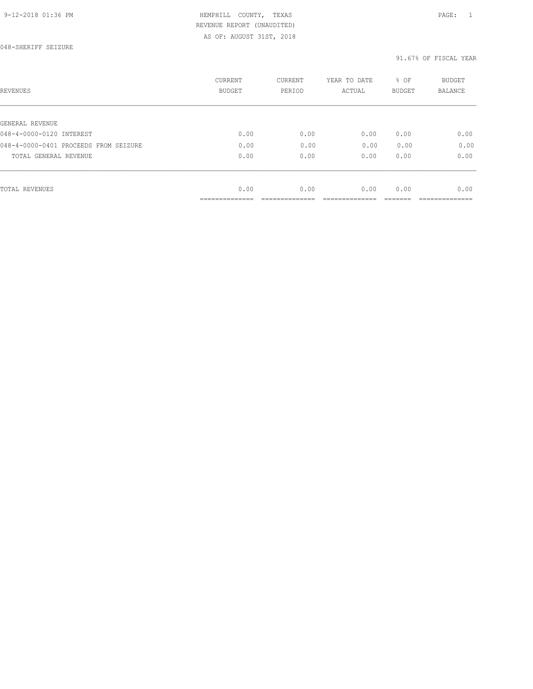| REVENUES                              | <b>CURRENT</b><br><b>BUDGET</b> | CURRENT<br>PERIOD | YEAR TO DATE<br>ACTUAL | % OF<br><b>BUDGET</b> | BUDGET<br>BALANCE |
|---------------------------------------|---------------------------------|-------------------|------------------------|-----------------------|-------------------|
|                                       |                                 |                   |                        |                       |                   |
| GENERAL REVENUE                       |                                 |                   |                        |                       |                   |
| 048-4-0000-0120 INTEREST              | 0.00                            | 0.00              | 0.00                   | 0.00                  | 0.00              |
| 048-4-0000-0401 PROCEEDS FROM SEIZURE | 0.00                            | 0.00              | 0.00                   | 0.00                  | 0.00              |
| TOTAL GENERAL REVENUE                 | 0.00                            | 0.00              | 0.00                   | 0.00                  | 0.00              |
|                                       |                                 |                   |                        |                       |                   |
| TOTAL REVENUES                        | 0.00                            | 0.00              | 0.00                   | 0.00                  | 0.00              |
|                                       |                                 |                   |                        |                       |                   |